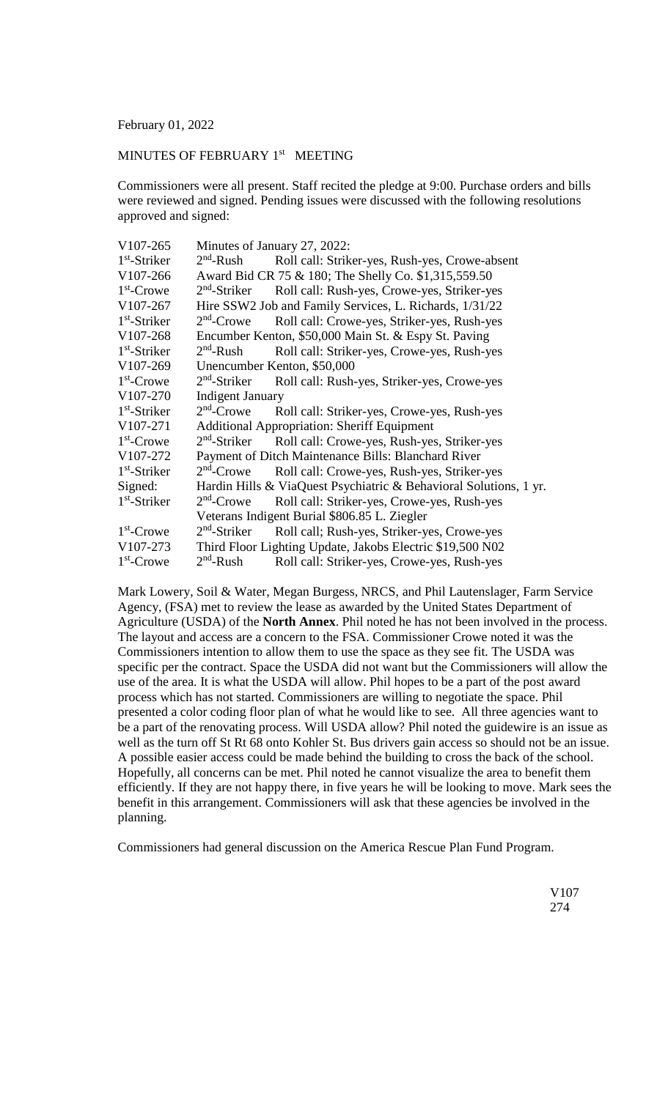February 01, 2022

## MINUTES OF FEBRUARY 1<sup>st</sup> MEETING

Commissioners were all present. Staff recited the pledge at 9:00. Purchase orders and bills were reviewed and signed. Pending issues were discussed with the following resolutions approved and signed:

| V107-265       | Minutes of January 27, 2022:                                      |                                                |  |
|----------------|-------------------------------------------------------------------|------------------------------------------------|--|
| $1st$ -Striker | $2nd$ -Rush                                                       | Roll call: Striker-yes, Rush-yes, Crowe-absent |  |
| V107-266       | Award Bid CR 75 & 180; The Shelly Co. \$1,315,559.50              |                                                |  |
| $1st$ -Crowe   | $2nd$ -Striker                                                    | Roll call: Rush-yes, Crowe-yes, Striker-yes    |  |
| V107-267       | Hire SSW2 Job and Family Services, L. Richards, 1/31/22           |                                                |  |
| $1st$ -Striker | $2nd$ -Crowe                                                      | Roll call: Crowe-yes, Striker-yes, Rush-yes    |  |
| V107-268       | Encumber Kenton, \$50,000 Main St. & Espy St. Paving              |                                                |  |
| $1st$ -Striker | $2nd$ -Rush                                                       | Roll call: Striker-yes, Crowe-yes, Rush-yes    |  |
| V107-269       | Unencumber Kenton, \$50,000                                       |                                                |  |
| $1st$ -Crowe   | $2nd$ -Striker                                                    | Roll call: Rush-yes, Striker-yes, Crowe-yes    |  |
| V107-270       | <b>Indigent January</b>                                           |                                                |  |
| $1st$ -Striker | $2nd$ -Crowe                                                      | Roll call: Striker-yes, Crowe-yes, Rush-yes    |  |
| V107-271       | <b>Additional Appropriation: Sheriff Equipment</b>                |                                                |  |
| $1st$ -Crowe   | $2nd$ -Striker                                                    | Roll call: Crowe-yes, Rush-yes, Striker-yes    |  |
| V107-272       | Payment of Ditch Maintenance Bills: Blanchard River               |                                                |  |
| $1st$ -Striker | $2nd$ -Crowe                                                      | Roll call: Crowe-yes, Rush-yes, Striker-yes    |  |
| Signed:        | Hardin Hills & ViaQuest Psychiatric & Behavioral Solutions, 1 yr. |                                                |  |
| $1st$ -Striker | $2nd$ -Crowe                                                      | Roll call: Striker-yes, Crowe-yes, Rush-yes    |  |
|                | Veterans Indigent Burial \$806.85 L. Ziegler                      |                                                |  |
| $1st$ -Crowe   | $2nd$ -Striker                                                    | Roll call; Rush-yes, Striker-yes, Crowe-yes    |  |
| V107-273       | Third Floor Lighting Update, Jakobs Electric \$19,500 N02         |                                                |  |
| $1st$ -Crowe   | $2nd$ -Rush                                                       | Roll call: Striker-yes, Crowe-yes, Rush-yes    |  |

Mark Lowery, Soil & Water, Megan Burgess, NRCS, and Phil Lautenslager, Farm Service Agency, (FSA) met to review the lease as awarded by the United States Department of Agriculture (USDA) of the **North Annex**. Phil noted he has not been involved in the process. The layout and access are a concern to the FSA. Commissioner Crowe noted it was the Commissioners intention to allow them to use the space as they see fit. The USDA was specific per the contract. Space the USDA did not want but the Commissioners will allow the use of the area. It is what the USDA will allow. Phil hopes to be a part of the post award process which has not started. Commissioners are willing to negotiate the space. Phil presented a color coding floor plan of what he would like to see. All three agencies want to be a part of the renovating process. Will USDA allow? Phil noted the guidewire is an issue as well as the turn off St Rt 68 onto Kohler St. Bus drivers gain access so should not be an issue. A possible easier access could be made behind the building to cross the back of the school. Hopefully, all concerns can be met. Phil noted he cannot visualize the area to benefit them efficiently. If they are not happy there, in five years he will be looking to move. Mark sees the benefit in this arrangement. Commissioners will ask that these agencies be involved in the planning.

Commissioners had general discussion on the America Rescue Plan Fund Program.

V107  $274$